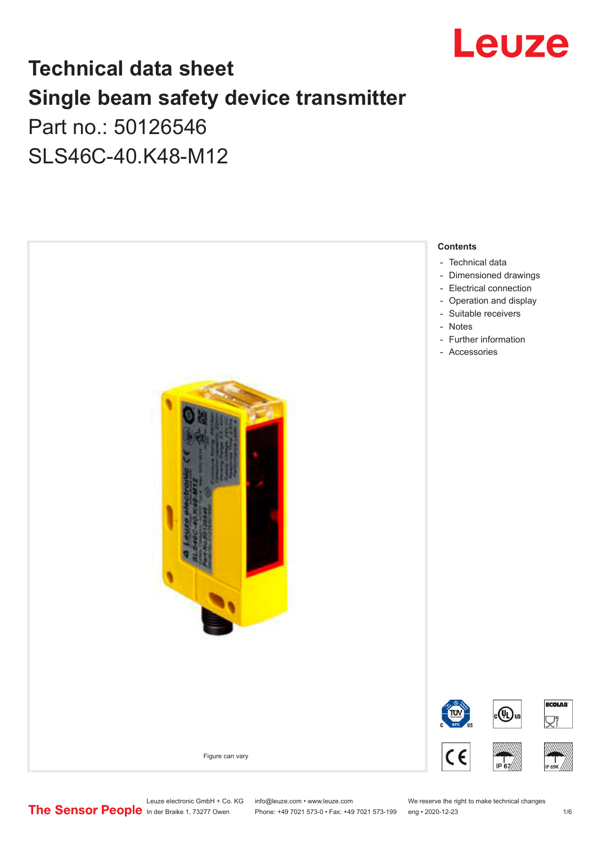

## **Technical data sheet Single beam safety device transmitter** Part no.: 50126546

SLS46C-40.K48-M12



Leuze electronic GmbH + Co. KG info@leuze.com • www.leuze.com We reserve the right to make technical changes<br>
The Sensor People in der Braike 1, 73277 Owen Phone: +49 7021 573-0 • Fax: +49 7021 573-199 eng • 2020-12-23

Phone: +49 7021 573-0 • Fax: +49 7021 573-199 eng • 2020-12-23 1 /6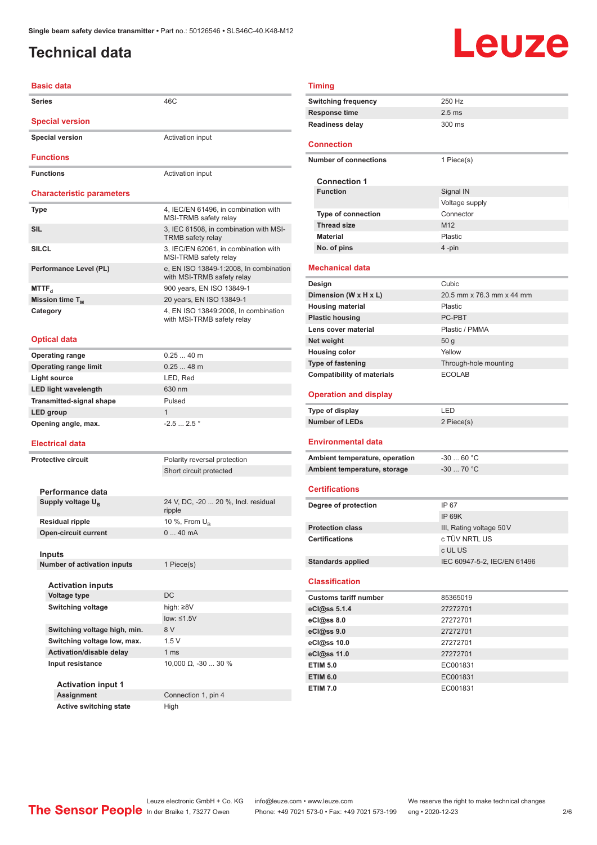### <span id="page-1-0"></span>**Technical data**

# Leuze

### **Basic data**

| <b>Series</b>                    | 46C                                                                  | <b>Switching frequency</b>        | 250 Hz                    |
|----------------------------------|----------------------------------------------------------------------|-----------------------------------|---------------------------|
| <b>Special version</b>           |                                                                      | Response time                     | 2.5 <sub>ms</sub>         |
|                                  |                                                                      | <b>Readiness delay</b>            | 300 ms                    |
| <b>Special version</b>           | Activation input                                                     | <b>Connection</b>                 |                           |
| <b>Functions</b>                 |                                                                      | <b>Number of connections</b>      | 1 Piece(s)                |
| <b>Functions</b>                 | Activation input                                                     |                                   |                           |
|                                  |                                                                      | <b>Connection 1</b>               |                           |
| <b>Characteristic parameters</b> |                                                                      | <b>Function</b>                   | Signal IN                 |
|                                  |                                                                      |                                   | Voltage su                |
| Type                             | 4, IEC/EN 61496, in combination with<br>MSI-TRMB safety relay        | Type of connection                | Connector                 |
| <b>SIL</b>                       | 3, IEC 61508, in combination with MSI-                               | <b>Thread size</b>                | M12                       |
|                                  | <b>TRMB</b> safety relay                                             | <b>Material</b>                   | Plastic                   |
| <b>SILCL</b>                     | 3, IEC/EN 62061, in combination with<br>MSI-TRMB safety relay        | No. of pins                       | 4 -pin                    |
| Performance Level (PL)           | e, EN ISO 13849-1:2008, In combination<br>with MSI-TRMB safety relay | <b>Mechanical data</b>            |                           |
| $MTTF_{d}$                       | 900 years, EN ISO 13849-1                                            | Design                            | Cubic                     |
| Mission time T <sub>M</sub>      | 20 years, EN ISO 13849-1                                             | Dimension (W x H x L)             | 20.5 mm x                 |
| Category                         | 4, EN ISO 13849:2008, In combination                                 | <b>Housing material</b>           | Plastic                   |
|                                  | with MSI-TRMB safety relay                                           | <b>Plastic housing</b>            | PC-PBT                    |
|                                  |                                                                      | Lens cover material               | Plastic / Pl              |
| <b>Optical data</b>              |                                                                      | Net weight                        | 50 g                      |
| <b>Operating range</b>           | $0.2540$ m                                                           | <b>Housing color</b>              | Yellow                    |
| <b>Operating range limit</b>     | $0.2548$ m                                                           | <b>Type of fastening</b>          | Through-h                 |
| Light source                     | LED, Red                                                             | <b>Compatibility of materials</b> | <b>ECOLAB</b>             |
| <b>LED light wavelength</b>      | 630 nm                                                               |                                   |                           |
| <b>Transmitted-signal shape</b>  | Pulsed                                                               | <b>Operation and display</b>      |                           |
| LED group                        | $\mathbf{1}$                                                         | Type of display                   | LED                       |
| Opening angle, max.              | $-2.52.5$ °                                                          | <b>Number of LEDs</b>             | 2 Piece(s)                |
| <b>Electrical data</b>           |                                                                      | <b>Environmental data</b>         |                           |
|                                  |                                                                      | Ambient temperature, operation    | -30 $\dots$ 60 $^{\circ}$ |
| <b>Protective circuit</b>        | Polarity reversal protection                                         | Ambient temperature, storage      | $-3070$ $^{\circ}$        |
|                                  | Short circuit protected                                              |                                   |                           |
| Performance data                 |                                                                      | <b>Certifications</b>             |                           |
| Supply voltage $U_{\rm B}$       | 24 V, DC, -20  20 %, Incl. residual                                  |                                   | IP 67                     |
|                                  | ripple                                                               | Degree of protection              |                           |
| <b>Residual ripple</b>           | 10 %, From $U_{\rm B}$                                               |                                   | <b>IP 69K</b>             |
| <b>Open-circuit current</b>      | 040mA                                                                | <b>Protection class</b>           | III, Rating               |
|                                  |                                                                      | <b>Certifications</b>             | c TÜV NR                  |
| Inputs                           |                                                                      |                                   | c UL US                   |
| Number of activation inputs      | 1 Piece(s)                                                           | <b>Standards applied</b>          | <b>IEC 60947</b>          |
| <b>Activation inputs</b>         |                                                                      | <b>Classification</b>             |                           |
| <b>Voltage type</b>              | <b>DC</b>                                                            | <b>Customs tariff number</b>      | 85365019                  |
| <b>Switching voltage</b>         | high: $\geq 8V$                                                      | eCl@ss 5.1.4                      | 27272701                  |
|                                  | low: $\leq 1.5V$                                                     | eCl@ss 8.0                        | 27272701                  |
| Switching voltage high, min.     | 8 V                                                                  | eCl@ss 9.0                        | 27272701                  |
| Switching voltage low, max.      | 1.5V                                                                 | eCl@ss 10.0                       | 27272701                  |
| Activation/disable delay         | 1 <sub>ms</sub>                                                      | eCl@ss 11.0                       | 27272701                  |
| Input resistance                 | 10,000 $\Omega$ , -30  30 %                                          | <b>ETIM 5.0</b>                   | EC001831                  |
|                                  |                                                                      | <b>ETIM 6.0</b>                   | EC001831                  |
| <b>Activation input 1</b>        |                                                                      | <b>ETIM 7.0</b>                   | EC001831                  |
| <b>Assignment</b>                | Connection 1, pin 4                                                  |                                   |                           |
| <b>Active switching state</b>    | High                                                                 |                                   |                           |

### **Timing**

| Timing                            |                             |
|-----------------------------------|-----------------------------|
| <b>Switching frequency</b>        | 250 Hz                      |
| <b>Response time</b>              | $2.5$ ms                    |
| <b>Readiness delay</b>            | $300 \text{ ms}$            |
|                                   |                             |
| Connection                        |                             |
| <b>Number of connections</b>      | 1 Piece(s)                  |
|                                   |                             |
| <b>Connection 1</b>               |                             |
| <b>Function</b>                   | Signal IN                   |
|                                   | Voltage supply              |
| <b>Type of connection</b>         | Connector                   |
| <b>Thread size</b>                | M <sub>12</sub>             |
| <b>Material</b>                   | Plastic                     |
| No. of pins                       | 4-pin                       |
| <b>Mechanical data</b>            |                             |
| Design                            | Cubic                       |
| Dimension (W x H x L)             | 20.5 mm x 76.3 mm x 44 mm   |
| <b>Housing material</b>           | Plastic                     |
| <b>Plastic housing</b>            | PC-PBT                      |
| Lens cover material               | Plastic / PMMA              |
| Net weight                        | 50 <sub>g</sub>             |
| <b>Housing color</b>              | Yellow                      |
| <b>Type of fastening</b>          | Through-hole mounting       |
| <b>Compatibility of materials</b> | <b>ECOLAB</b>               |
| <b>Operation and display</b>      |                             |
| <b>Type of display</b>            | LED                         |
| <b>Number of LEDs</b>             | 2 Piece(s)                  |
|                                   |                             |
| Environmental data                |                             |
| Ambient temperature, operation    | $-30$ 60 °C                 |
| Ambient temperature, storage      | $-30$ 70 °C                 |
|                                   |                             |
| <b>Certifications</b>             |                             |
| Degree of protection              | IP 67                       |
|                                   | <b>IP 69K</b>               |
| <b>Protection class</b>           | III, Rating voltage 50 V    |
| <b>Certifications</b>             | c TÜV NRTL US               |
|                                   | c UL US                     |
| <b>Standards applied</b>          | IEC 60947-5-2, IEC/EN 61496 |
| <b>Classification</b>             |                             |
| <b>Customs tariff number</b>      | 85365019                    |
| eCl@ss 5.1.4                      | 27272701                    |
| eCl@ss 8.0                        | 27272701                    |
| eCl@ss 9.0                        | 27272701                    |
| eCl@ss 10.0                       | 27272701                    |
| eCl@ss 11.0                       | 27272701                    |
| <b>ETIM 5.0</b>                   | EC001831                    |
|                                   |                             |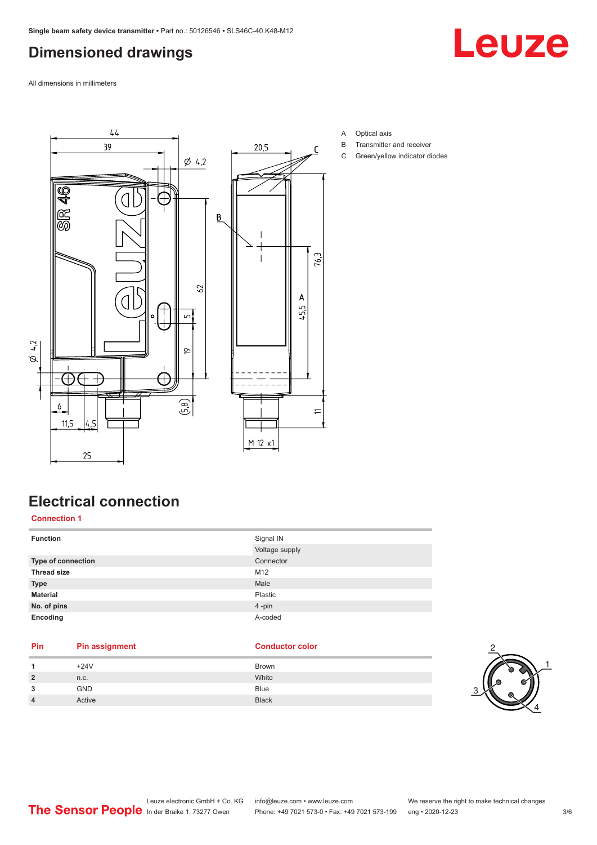### <span id="page-2-0"></span>**Dimensioned drawings**

Leuze

All dimensions in millimeters



- A Optical axis
- B Transmitter and receiver
- C Green/yellow indicator diodes

### **Electrical connection**

**Connection 1**

| <b>Function</b>    | Signal IN      |
|--------------------|----------------|
|                    | Voltage supply |
| Type of connection | Connector      |
| <b>Thread size</b> | M12            |
| <b>Type</b>        | Male           |
| <b>Material</b>    | Plastic        |
| No. of pins        | 4-pin          |
| Encoding           | A-coded        |

## **Pin Pin assignment Conductor Conductor Color**

|                | $+24V$     | Brown        |
|----------------|------------|--------------|
| $\overline{2}$ | n.c.       | White        |
| 3              | <b>GND</b> | <b>Blue</b>  |
| 4              | Active     | <b>Black</b> |

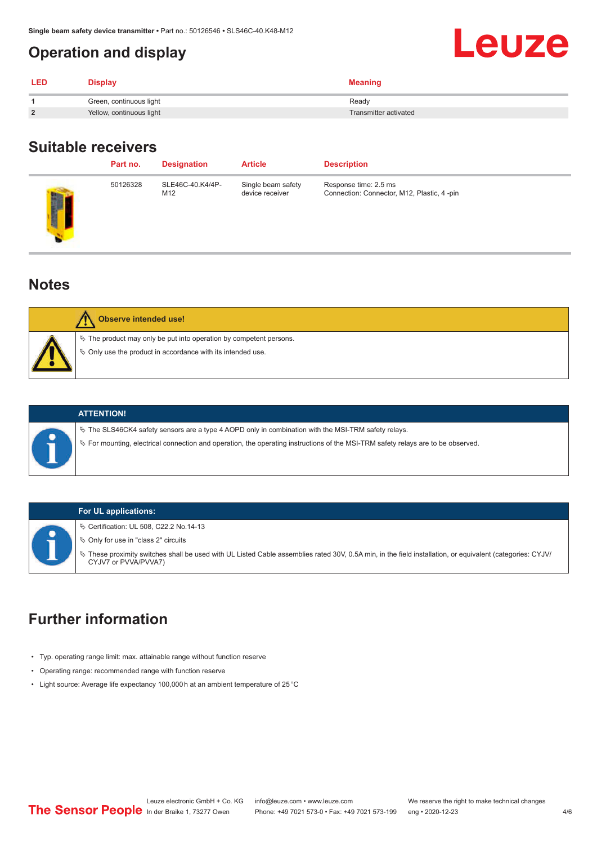### <span id="page-3-0"></span>**Operation and display**

| LED            | <b>Display</b>           | <b>Meaning</b>        |
|----------------|--------------------------|-----------------------|
|                | Green, continuous light  | Ready                 |
| $\overline{2}$ | Yellow, continuous light | Transmitter activated |

### **Suitable receivers**

|   | Part no. | <b>Designation</b>      | <b>Article</b>                        | <b>Description</b>                                                   |
|---|----------|-------------------------|---------------------------------------|----------------------------------------------------------------------|
| J | 50126328 | SLE46C-40.K4/4P-<br>M12 | Single beam safety<br>device receiver | Response time: 2.5 ms<br>Connection: Connector, M12, Plastic, 4 -pin |
|   |          |                         |                                       |                                                                      |

### **Notes**

| Observe intended use!                                                                                                                            |
|--------------------------------------------------------------------------------------------------------------------------------------------------|
| $\&$ The product may only be put into operation by competent persons.<br>$\phi$ $\phi$ Only use the product in accordance with its intended use. |



 $\%$  The SLS46CK4 safety sensors are a type 4 AOPD only in combination with the MSI-TRM safety relays.

ª For mounting, electrical connection and operation, the operating instructions of the MSI-TRM safety relays are to be observed.

### **For UL applications:**

ª Certification: UL 508, C22.2 No.14-13

 $\%$  Only for use in "class 2" circuits

ª These proximity switches shall be used with UL Listed Cable assemblies rated 30V, 0.5A min, in the field installation, or equivalent (categories: CYJV/ CYJV7 or PVVA/PVVA7)

### **Further information**

- Typ. operating range limit: max. attainable range without function reserve
- Operating range: recommended range with function reserve
- Light source: Average life expectancy 100,000 h at an ambient temperature of 25 °C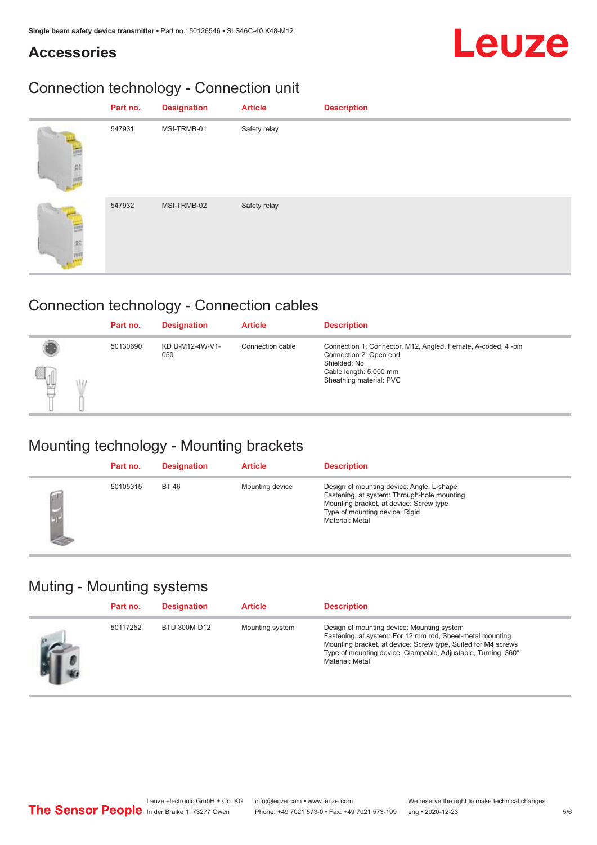### **Accessories**

# Leuze

## Connection technology - Connection unit

| Part no. | <b>Designation</b> | <b>Article</b> | <b>Description</b> |
|----------|--------------------|----------------|--------------------|
| 547931   | MSI-TRMB-01        | Safety relay   |                    |
| 547932   | MSI-TRMB-02        | Safety relay   |                    |

### Connection technology - Connection cables

|             | Part no. | <b>Designation</b>     | <b>Article</b>   | <b>Description</b>                                                                                                                                          |
|-------------|----------|------------------------|------------------|-------------------------------------------------------------------------------------------------------------------------------------------------------------|
| a<br>법<br>₩ | 50130690 | KD U-M12-4W-V1-<br>050 | Connection cable | Connection 1: Connector, M12, Angled, Female, A-coded, 4-pin<br>Connection 2: Open end<br>Shielded: No<br>Cable length: 5,000 mm<br>Sheathing material: PVC |

### Mounting technology - Mounting brackets

| Part no. | <b>Designation</b> | <b>Article</b>  | <b>Description</b>                                                                                                                                                                       |
|----------|--------------------|-----------------|------------------------------------------------------------------------------------------------------------------------------------------------------------------------------------------|
| 50105315 | <b>BT46</b>        | Mounting device | Design of mounting device: Angle, L-shape<br>Fastening, at system: Through-hole mounting<br>Mounting bracket, at device: Screw type<br>Type of mounting device: Rigid<br>Material: Metal |

### Muting - Mounting systems

| Part no. | <b>Designation</b> | <b>Article</b>  | <b>Description</b>                                                                                                                                                                                                                                           |
|----------|--------------------|-----------------|--------------------------------------------------------------------------------------------------------------------------------------------------------------------------------------------------------------------------------------------------------------|
| 50117252 | BTU 300M-D12       | Mounting system | Design of mounting device: Mounting system<br>Fastening, at system: For 12 mm rod, Sheet-metal mounting<br>Mounting bracket, at device: Screw type, Suited for M4 screws<br>Type of mounting device: Clampable, Adjustable, Turning, 360°<br>Material: Metal |